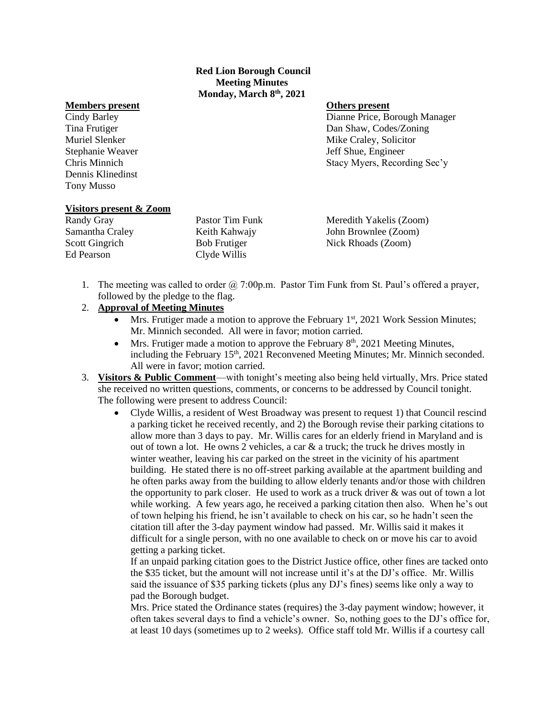## **Red Lion Borough Council Meeting Minutes Monday, March 8th, 2021**

## **Members present Others present**

Dennis Klinedinst Tony Musso

Cindy Barley Dianne Price, Borough Manager Tina Frutiger Dan Shaw, Codes/Zoning Muriel Slenker **Mike Craley**, Solicitor **Mike Craley**, Solicitor Stephanie Weaver **Stephanie Weaver** Jeff Shue, Engineer Chris Minnich Stacy Myers, Recording Sec'y

# **Visitors present & Zoom**

Ed Pearson Clyde Willis

Randy Gray **Pastor Tim Funk** Meredith Yakelis (Zoom) Samantha Craley Keith Kahwajy John Brownlee (Zoom) Scott Gingrich Bob Frutiger Nick Rhoads (Zoom)

1. The meeting was called to order  $\omega$  7:00p.m. Pastor Tim Funk from St. Paul's offered a prayer, followed by the pledge to the flag.

# 2. **Approval of Meeting Minutes**

- Mrs. Frutiger made a motion to approve the February  $1<sup>st</sup>$ , 2021 Work Session Minutes; Mr. Minnich seconded. All were in favor; motion carried.
- Mrs. Frutiger made a motion to approve the February  $8<sup>th</sup>$ , 2021 Meeting Minutes, including the February  $15<sup>th</sup>$ , 2021 Reconvened Meeting Minutes; Mr. Minnich seconded. All were in favor; motion carried.
- 3. **Visitors & Public Comment**—with tonight's meeting also being held virtually, Mrs. Price stated she received no written questions, comments, or concerns to be addressed by Council tonight. The following were present to address Council:
	- Clyde Willis, a resident of West Broadway was present to request 1) that Council rescind a parking ticket he received recently, and 2) the Borough revise their parking citations to allow more than 3 days to pay. Mr. Willis cares for an elderly friend in Maryland and is out of town a lot. He owns 2 vehicles, a car & a truck; the truck he drives mostly in winter weather, leaving his car parked on the street in the vicinity of his apartment building. He stated there is no off-street parking available at the apartment building and he often parks away from the building to allow elderly tenants and/or those with children the opportunity to park closer. He used to work as a truck driver  $\&$  was out of town a lot while working. A few years ago, he received a parking citation then also. When he's out of town helping his friend, he isn't available to check on his car, so he hadn't seen the citation till after the 3-day payment window had passed. Mr. Willis said it makes it difficult for a single person, with no one available to check on or move his car to avoid getting a parking ticket.

If an unpaid parking citation goes to the District Justice office, other fines are tacked onto the \$35 ticket, but the amount will not increase until it's at the DJ's office. Mr. Willis said the issuance of \$35 parking tickets (plus any DJ's fines) seems like only a way to pad the Borough budget.

Mrs. Price stated the Ordinance states (requires) the 3-day payment window; however, it often takes several days to find a vehicle's owner. So, nothing goes to the DJ's office for, at least 10 days (sometimes up to 2 weeks). Office staff told Mr. Willis if a courtesy call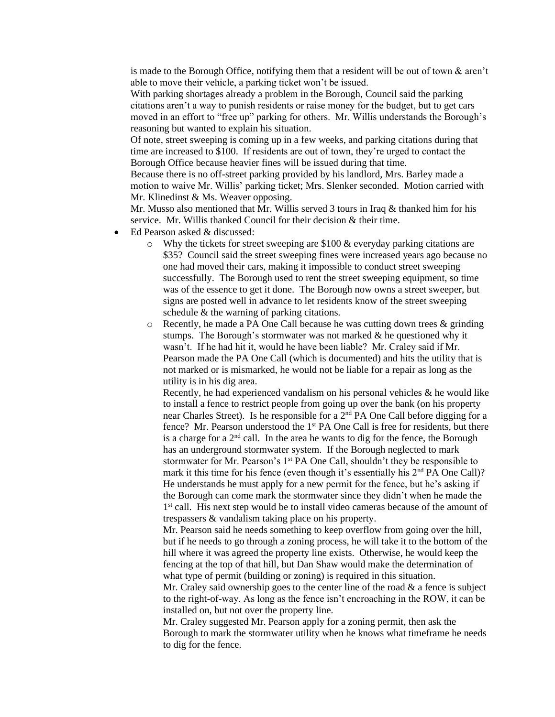is made to the Borough Office, notifying them that a resident will be out of town  $\&$  aren't able to move their vehicle, a parking ticket won't be issued.

With parking shortages already a problem in the Borough, Council said the parking citations aren't a way to punish residents or raise money for the budget, but to get cars moved in an effort to "free up" parking for others. Mr. Willis understands the Borough's reasoning but wanted to explain his situation.

Of note, street sweeping is coming up in a few weeks, and parking citations during that time are increased to \$100. If residents are out of town, they're urged to contact the Borough Office because heavier fines will be issued during that time.

Because there is no off-street parking provided by his landlord, Mrs. Barley made a motion to waive Mr. Willis' parking ticket; Mrs. Slenker seconded. Motion carried with Mr. Klinedinst & Ms. Weaver opposing.

Mr. Musso also mentioned that Mr. Willis served 3 tours in Iraq & thanked him for his service. Mr. Willis thanked Council for their decision & their time.

- Ed Pearson asked & discussed:
	- $\circ$  Why the tickets for street sweeping are \$100 & everyday parking citations are \$35? Council said the street sweeping fines were increased years ago because no one had moved their cars, making it impossible to conduct street sweeping successfully. The Borough used to rent the street sweeping equipment, so time was of the essence to get it done. The Borough now owns a street sweeper, but signs are posted well in advance to let residents know of the street sweeping schedule & the warning of parking citations.
	- $\circ$  Recently, he made a PA One Call because he was cutting down trees & grinding stumps. The Borough's stormwater was not marked & he questioned why it wasn't. If he had hit it, would he have been liable? Mr. Craley said if Mr. Pearson made the PA One Call (which is documented) and hits the utility that is not marked or is mismarked, he would not be liable for a repair as long as the utility is in his dig area.

Recently, he had experienced vandalism on his personal vehicles  $\&$  he would like to install a fence to restrict people from going up over the bank (on his property near Charles Street). Is he responsible for a 2nd PA One Call before digging for a fence? Mr. Pearson understood the 1<sup>st</sup> PA One Call is free for residents, but there is a charge for a  $2<sup>nd</sup>$  call. In the area he wants to dig for the fence, the Borough has an underground stormwater system. If the Borough neglected to mark stormwater for Mr. Pearson's  $1<sup>st</sup> PA$  One Call, shouldn't they be responsible to mark it this time for his fence (even though it's essentially his 2<sup>nd</sup> PA One Call)? He understands he must apply for a new permit for the fence, but he's asking if the Borough can come mark the stormwater since they didn't when he made the 1<sup>st</sup> call. His next step would be to install video cameras because of the amount of trespassers & vandalism taking place on his property.

Mr. Pearson said he needs something to keep overflow from going over the hill, but if he needs to go through a zoning process, he will take it to the bottom of the hill where it was agreed the property line exists. Otherwise, he would keep the fencing at the top of that hill, but Dan Shaw would make the determination of what type of permit (building or zoning) is required in this situation.

Mr. Craley said ownership goes to the center line of the road  $\&$  a fence is subject to the right-of-way. As long as the fence isn't encroaching in the ROW, it can be installed on, but not over the property line.

Mr. Craley suggested Mr. Pearson apply for a zoning permit, then ask the Borough to mark the stormwater utility when he knows what timeframe he needs to dig for the fence.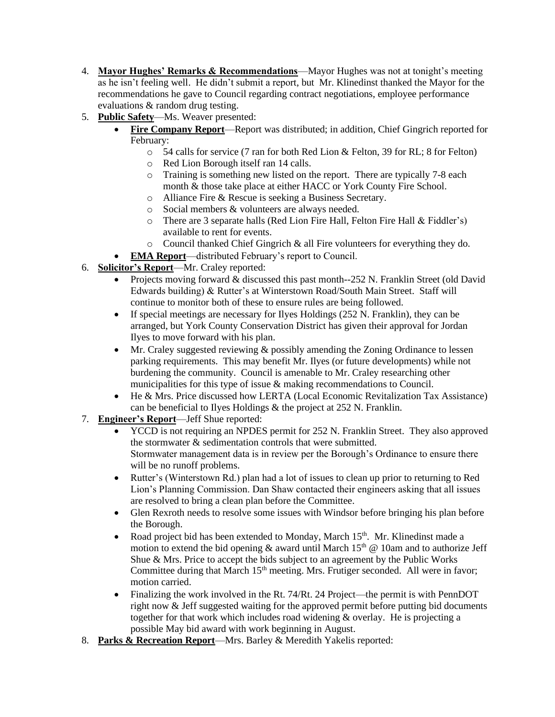- 4. **Mayor Hughes' Remarks & Recommendations**—Mayor Hughes was not at tonight's meeting as he isn't feeling well. He didn't submit a report, but Mr. Klinedinst thanked the Mayor for the recommendations he gave to Council regarding contract negotiations, employee performance evaluations & random drug testing.
- 5. **Public Safety**—Ms. Weaver presented:
	- **Fire Company Report**—Report was distributed; in addition, Chief Gingrich reported for February:
		- o 54 calls for service (7 ran for both Red Lion & Felton, 39 for RL; 8 for Felton)
		- o Red Lion Borough itself ran 14 calls.
		- o Training is something new listed on the report. There are typically 7-8 each month & those take place at either HACC or York County Fire School.
		- o Alliance Fire & Rescue is seeking a Business Secretary.
		- o Social members & volunteers are always needed.
		- o There are 3 separate halls (Red Lion Fire Hall, Felton Fire Hall & Fiddler's) available to rent for events.
		- o Council thanked Chief Gingrich & all Fire volunteers for everything they do.
	- **EMA Report**—distributed February's report to Council.
- 6. **Solicitor's Report**—Mr. Craley reported:
	- Projects moving forward & discussed this past month--252 N. Franklin Street (old David Edwards building) & Rutter's at Winterstown Road/South Main Street. Staff will continue to monitor both of these to ensure rules are being followed.
	- If special meetings are necessary for Ilyes Holdings (252 N. Franklin), they can be arranged, but York County Conservation District has given their approval for Jordan Ilyes to move forward with his plan.
	- Mr. Craley suggested reviewing & possibly amending the Zoning Ordinance to lessen parking requirements. This may benefit Mr. Ilyes (or future developments) while not burdening the community. Council is amenable to Mr. Craley researching other municipalities for this type of issue & making recommendations to Council.
	- He & Mrs. Price discussed how LERTA (Local Economic Revitalization Tax Assistance) can be beneficial to Ilyes Holdings & the project at 252 N. Franklin.
- 7. **Engineer's Report**—Jeff Shue reported:
	- YCCD is not requiring an NPDES permit for 252 N. Franklin Street. They also approved the stormwater & sedimentation controls that were submitted. Stormwater management data is in review per the Borough's Ordinance to ensure there will be no runoff problems.
	- Rutter's (Winterstown Rd.) plan had a lot of issues to clean up prior to returning to Red Lion's Planning Commission. Dan Shaw contacted their engineers asking that all issues are resolved to bring a clean plan before the Committee.
	- Glen Rexroth needs to resolve some issues with Windsor before bringing his plan before the Borough.
	- Road project bid has been extended to Monday, March  $15<sup>th</sup>$ . Mr. Klinedinst made a motion to extend the bid opening  $\&$  award until March 15<sup>th</sup>  $\&$  10am and to authorize Jeff Shue & Mrs. Price to accept the bids subject to an agreement by the Public Works Committee during that March 15<sup>th</sup> meeting. Mrs. Frutiger seconded. All were in favor; motion carried.
	- Finalizing the work involved in the Rt. 74/Rt. 24 Project—the permit is with PennDOT right now & Jeff suggested waiting for the approved permit before putting bid documents together for that work which includes road widening & overlay. He is projecting a possible May bid award with work beginning in August.
- 8. **Parks & Recreation Report**—Mrs. Barley & Meredith Yakelis reported: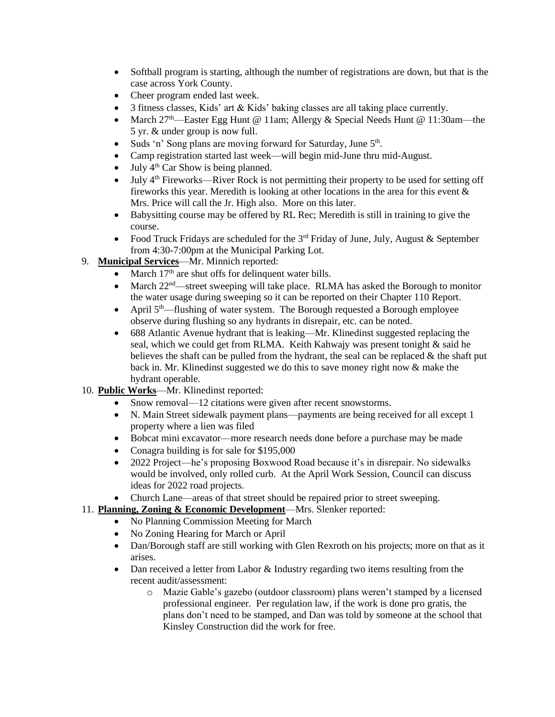- Softball program is starting, although the number of registrations are down, but that is the case across York County.
- Cheer program ended last week.
- 3 fitness classes, Kids' art & Kids' baking classes are all taking place currently.
- March  $27<sup>th</sup>$ —Easter Egg Hunt @ 11am; Allergy & Special Needs Hunt @ 11:30am—the 5 yr. & under group is now full.
- Suds 'n' Song plans are moving forward for Saturday, June 5<sup>th</sup>.
- Camp registration started last week—will begin mid-June thru mid-August.
- July  $4<sup>th</sup>$  Car Show is being planned.
- July 4<sup>th</sup> Fireworks—River Rock is not permitting their property to be used for setting off fireworks this year. Meredith is looking at other locations in the area for this event  $\&$ Mrs. Price will call the Jr. High also. More on this later.
- Babysitting course may be offered by RL Rec; Meredith is still in training to give the course.
- Food Truck Fridays are scheduled for the  $3<sup>rd</sup>$  Friday of June, July, August & September from 4:30-7:00pm at the Municipal Parking Lot.
- 9. **Municipal Services**—Mr. Minnich reported:
	- March  $17<sup>th</sup>$  are shut offs for delinquent water bills.
	- March  $22<sup>nd</sup>$ —street sweeping will take place. RLMA has asked the Borough to monitor the water usage during sweeping so it can be reported on their Chapter 110 Report.
	- April  $5<sup>th</sup>$ —flushing of water system. The Borough requested a Borough employee observe during flushing so any hydrants in disrepair, etc. can be noted.
	- 688 Atlantic Avenue hydrant that is leaking—Mr. Klinedinst suggested replacing the seal, which we could get from RLMA. Keith Kahwajy was present tonight & said he believes the shaft can be pulled from the hydrant, the seal can be replaced  $\&$  the shaft put back in. Mr. Klinedinst suggested we do this to save money right now & make the hydrant operable.
- 10. **Public Works**—Mr. Klinedinst reported:
	- Snow removal—12 citations were given after recent snowstorms.
	- N. Main Street sidewalk payment plans—payments are being received for all except 1 property where a lien was filed
	- Bobcat mini excavator—more research needs done before a purchase may be made
	- Conagra building is for sale for \$195,000
	- 2022 Project—he's proposing Boxwood Road because it's in disrepair. No sidewalks would be involved, only rolled curb. At the April Work Session, Council can discuss ideas for 2022 road projects.
	- Church Lane—areas of that street should be repaired prior to street sweeping.
- 11. **Planning, Zoning & Economic Development**—Mrs. Slenker reported:
	- No Planning Commission Meeting for March
	- No Zoning Hearing for March or April
	- Dan/Borough staff are still working with Glen Rexroth on his projects; more on that as it arises.
	- Dan received a letter from Labor & Industry regarding two items resulting from the recent audit/assessment:
		- o Mazie Gable's gazebo (outdoor classroom) plans weren't stamped by a licensed professional engineer. Per regulation law, if the work is done pro gratis, the plans don't need to be stamped, and Dan was told by someone at the school that Kinsley Construction did the work for free.